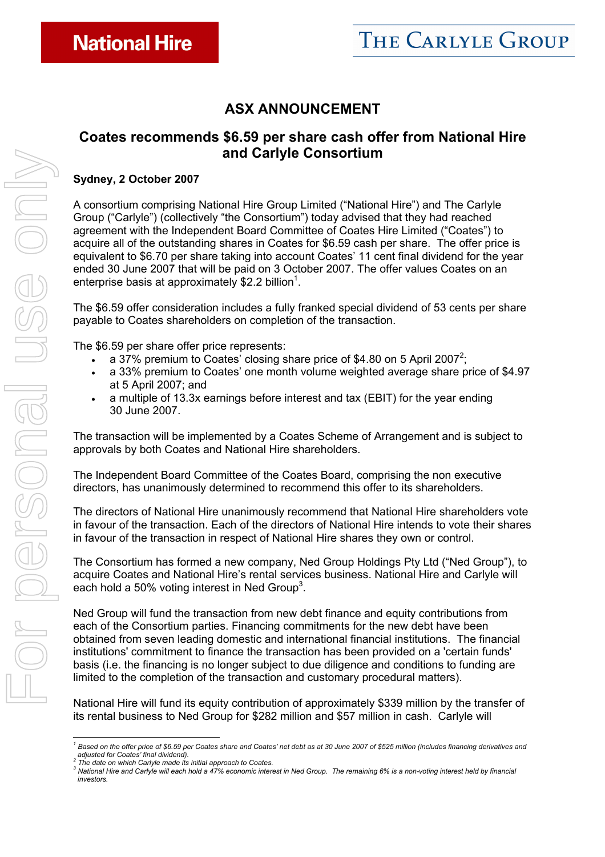## **ASX ANNOUNCEMENT**

## **Coates recommends \$6.59 per share cash offer from National Hire and Carlyle Consortium**

#### **Sydney, 2 October 2007**

A consortium comprising National Hire Group Limited ("National Hire") and The Carlyle Group ("Carlyle") (collectively "the Consortium") today advised that they had reached agreement with the Independent Board Committee of Coates Hire Limited ("Coates") to acquire all of the outstanding shares in Coates for \$6.59 cash per share. The offer price is equivalent to \$6.70 per share taking into account Coates' 11 cent final dividend for the year ended 30 June 2007 that will be paid on 3 October 2007. The offer values Coates on an enterprise basis at approximately \$2.2 billion<sup>1</sup>.

The \$6.59 offer consideration includes a fully franked special dividend of 53 cents per share payable to Coates shareholders on completion of the transaction.

The \$6.59 per share offer price represents:

- a 37% premium to Coates' closing share price of \$4.80 on 5 April 2007<sup>2</sup>;
- a 33% premium to Coates' one month volume weighted average share price of \$4.97 at 5 April 2007; and
- a multiple of 13.3x earnings before interest and tax (EBIT) for the year ending 30 June 2007.

The transaction will be implemented by a Coates Scheme of Arrangement and is subject to approvals by both Coates and National Hire shareholders.

The Independent Board Committee of the Coates Board, comprising the non executive directors, has unanimously determined to recommend this offer to its shareholders.

The directors of National Hire unanimously recommend that National Hire shareholders vote in favour of the transaction. Each of the directors of National Hire intends to vote their shares in favour of the transaction in respect of National Hire shares they own or control.

The Consortium has formed a new company, Ned Group Holdings Pty Ltd ("Ned Group"), to acquire Coates and National Hire's rental services business. National Hire and Carlyle will each hold a 50% voting interest in Ned Group<sup>3</sup>.

Ned Group will fund the transaction from new debt finance and equity contributions from each of the Consortium parties. Financing commitments for the new debt have been obtained from seven leading domestic and international financial institutions. The financial institutions' commitment to finance the transaction has been provided on a 'certain funds' basis (i.e. the financing is no longer subject to due diligence and conditions to funding are limited to the completion of the transaction and customary procedural matters).

National Hire will fund its equity contribution of approximately \$339 million by the transfer of its rental business to Ned Group for \$282 million and \$57 million in cash. Carlyle will

<sup>2</sup> The date on which Carlyle made its initial approach to Coates.<br><sup>3</sup> National Hire and Carlyle will seek hald a 47% connamis intera

 <sup>1</sup> Based on the offer price of \$6.59 per Coates share and Coates' net debt as at 30 June 2007 of \$525 million (includes financing derivatives and *adjusted for Coates' final dividend).* 

<sup>&</sup>lt;sup>3</sup> National Hire and Carlyle will each hold a 47% economic interest in Ned Group. The remaining 6% is a non-voting interest held by financial *investors.*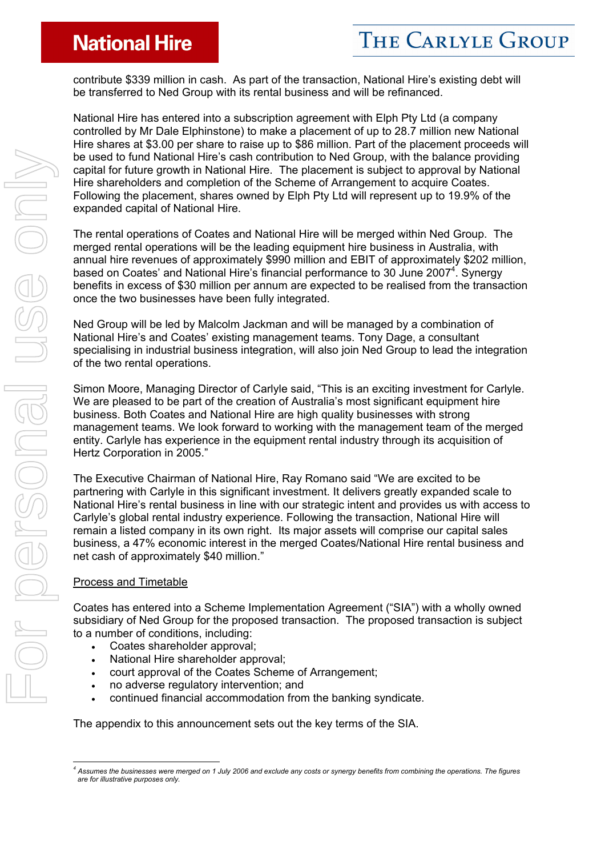## **National Hire**

contribute \$339 million in cash. As part of the transaction, National Hire's existing debt will be transferred to Ned Group with its rental business and will be refinanced.

National Hire has entered into a subscription agreement with Elph Pty Ltd (a company controlled by Mr Dale Elphinstone) to make a placement of up to 28.7 million new National Hire shares at \$3.00 per share to raise up to \$86 million. Part of the placement proceeds will be used to fund National Hire's cash contribution to Ned Group, with the balance providing capital for future growth in National Hire. The placement is subject to approval by National Hire shareholders and completion of the Scheme of Arrangement to acquire Coates. Following the placement, shares owned by Elph Pty Ltd will represent up to 19.9% of the expanded capital of National Hire.

The rental operations of Coates and National Hire will be merged within Ned Group. The merged rental operations will be the leading equipment hire business in Australia, with annual hire revenues of approximately \$990 million and EBIT of approximately \$202 million, based on Coates' and National Hire's financial performance to 30 June 2007<sup>4</sup>. Synergy benefits in excess of \$30 million per annum are expected to be realised from the transaction once the two businesses have been fully integrated.

Ned Group will be led by Malcolm Jackman and will be managed by a combination of National Hire's and Coates' existing management teams. Tony Dage, a consultant specialising in industrial business integration, will also join Ned Group to lead the integration of the two rental operations.

Simon Moore, Managing Director of Carlyle said, "This is an exciting investment for Carlyle. We are pleased to be part of the creation of Australia's most significant equipment hire business. Both Coates and National Hire are high quality businesses with strong management teams. We look forward to working with the management team of the merged entity. Carlyle has experience in the equipment rental industry through its acquisition of Hertz Corporation in 2005."

The Executive Chairman of National Hire, Ray Romano said "We are excited to be partnering with Carlyle in this significant investment. It delivers greatly expanded scale to National Hire's rental business in line with our strategic intent and provides us with access to Carlyle's global rental industry experience. Following the transaction, National Hire will remain a listed company in its own right. Its major assets will comprise our capital sales business, a 47% economic interest in the merged Coates/National Hire rental business and net cash of approximately \$40 million."

#### Process and Timetable

Coates has entered into a Scheme Implementation Agreement ("SIA") with a wholly owned subsidiary of Ned Group for the proposed transaction. The proposed transaction is subject to a number of conditions, including:

- Coates shareholder approval;
- National Hire shareholder approval;
- court approval of the Coates Scheme of Arrangement;
- no adverse regulatory intervention; and
- continued financial accommodation from the banking syndicate.

The appendix to this announcement sets out the key terms of the SIA.

 *4 Assumes the businesses were merged on 1 July 2006 and exclude any costs or synergy benefits from combining the operations. The figures are for illustrative purposes only.*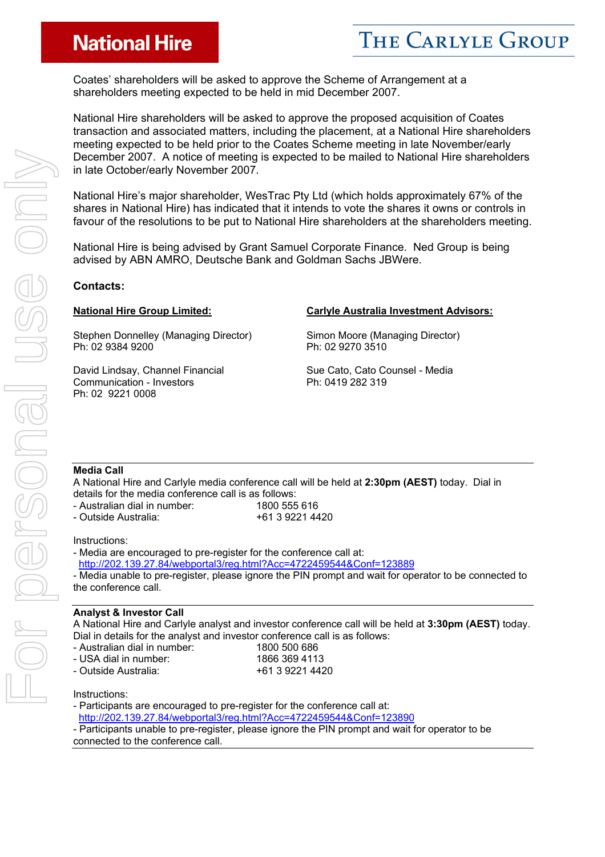# **National Hire**

Coates' shareholders will be asked to approve the Scheme of Arrangement at a shareholders meeting expected to be held in mid December 2007.

National Hire shareholders will be asked to approve the proposed acquisition of Coates transaction and associated matters, including the placement, at a National Hire shareholders meeting expected to be held prior to the Coates Scheme meeting in late November/early December 2007. A notice of meeting is expected to be mailed to National Hire shareholders in late October/early November 2007.

National Hire's major shareholder, WesTrac Pty Ltd (which holds approximately 67% of the shares in National Hire) has indicated that it intends to vote the shares it owns or controls in favour of the resolutions to be put to National Hire shareholders at the shareholders meeting.

National Hire is being advised by Grant Samuel Corporate Finance. Ned Group is being advised by ABN AMRO, Deutsche Bank and Goldman Sachs JBWere.

#### **Contacts:**

Stephen Donnelley (Managing Director) Ph: 02 9384 9200

David Lindsay, Channel Financial Communication - Investors Ph: 02 9221 0008

#### **National Hire Group Limited: Carlyle Australia Investment Advisors:**

Simon Moore (Managing Director) Ph: 02 9270 3510

Sue Cato, Cato Counsel - Media Ph: 0419 282 319

#### **Media Call**

A National Hire and Carlyle media conference call will be held at **2:30pm (AEST)** today. Dial in details for the media conference call is as follows:

- Australian dial in number: 1800 555 616
- Outside Australia:  $+61$  3 9221 4420
- 

#### Instructions:

- Media are encouraged to pre-register for the conference call at: http://202.139.27.84/webportal3/reg.html?Acc=4722459544&Conf=123889 - Media unable to pre-register, please ignore the PIN prompt and wait for operator to be connected to the conference call.

#### **Analyst & Investor Call**

A National Hire and Carlyle analyst and investor conference call will be held at **3:30pm (AEST)** today. Dial in details for the analyst and investor conference call is as follows:

- Australian dial in number: 1800 500 686 - USA dial in number: 1866 369 4113
- Outside Australia: +61 3 9221 4420

Instructions:

- Participants are encouraged to pre-register for the conference call at:

http://202.139.27.84/webportal3/reg.html?Acc=4722459544&Conf=123890

- Participants unable to pre-register, please ignore the PIN prompt and wait for operator to be connected to the conference call.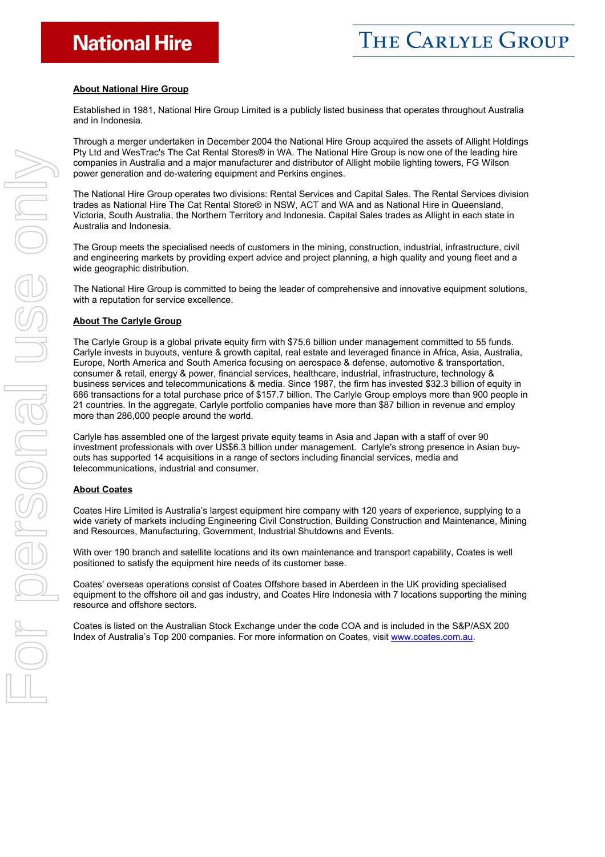#### **About National Hire Group**

Established in 1981, National Hire Group Limited is a publicly listed business that operates throughout Australia and in Indonesia.

Through a merger undertaken in December 2004 the National Hire Group acquired the assets of Allight Holdings Pty Ltd and WesTrac's The Cat Rental Stores® in WA. The National Hire Group is now one of the leading hire companies in Australia and a major manufacturer and distributor of Allight mobile lighting towers, FG Wilson power generation and de-watering equipment and Perkins engines.

The National Hire Group operates two divisions: Rental Services and Capital Sales. The Rental Services division trades as National Hire The Cat Rental Store® in NSW, ACT and WA and as National Hire in Queensland, Victoria, South Australia, the Northern Territory and Indonesia. Capital Sales trades as Allight in each state in Australia and Indonesia.

The Group meets the specialised needs of customers in the mining, construction, industrial, infrastructure, civil and engineering markets by providing expert advice and project planning, a high quality and young fleet and a wide geographic distribution.

The National Hire Group is committed to being the leader of comprehensive and innovative equipment solutions, with a reputation for service excellence.

#### **About The Carlyle Group**

The Carlyle Group is a global private equity firm with \$75.6 billion under management committed to 55 funds. Carlyle invests in buyouts, venture & growth capital, real estate and leveraged finance in Africa, Asia, Australia, Europe, North America and South America focusing on aerospace & defense, automotive & transportation, consumer & retail, energy & power, financial services, healthcare, industrial, infrastructure, technology & business services and telecommunications & media. Since 1987, the firm has invested \$32.3 billion of equity in 686 transactions for a total purchase price of \$157.7 billion. The Carlyle Group employs more than 900 people in 21 countries. In the aggregate, Carlyle portfolio companies have more than \$87 billion in revenue and employ more than 286,000 people around the world.

Carlyle has assembled one of the largest private equity teams in Asia and Japan with a staff of over 90 investment professionals with over US\$6.3 billion under management. Carlyle's strong presence in Asian buyouts has supported 14 acquisitions in a range of sectors including financial services, media and telecommunications, industrial and consumer.

#### **About Coates**

Coates Hire Limited is Australia's largest equipment hire company with 120 years of experience, supplying to a wide variety of markets including Engineering Civil Construction, Building Construction and Maintenance, Mining and Resources, Manufacturing, Government, Industrial Shutdowns and Events.

With over 190 branch and satellite locations and its own maintenance and transport capability, Coates is well positioned to satisfy the equipment hire needs of its customer base.

Coates' overseas operations consist of Coates Offshore based in Aberdeen in the UK providing specialised equipment to the offshore oil and gas industry, and Coates Hire Indonesia with 7 locations supporting the mining resource and offshore sectors.

Coates is listed on the Australian Stock Exchange under the code COA and is included in the S&P/ASX 200 Index of Australia's Top 200 companies. For more information on Coates, visit www.coates.com.au.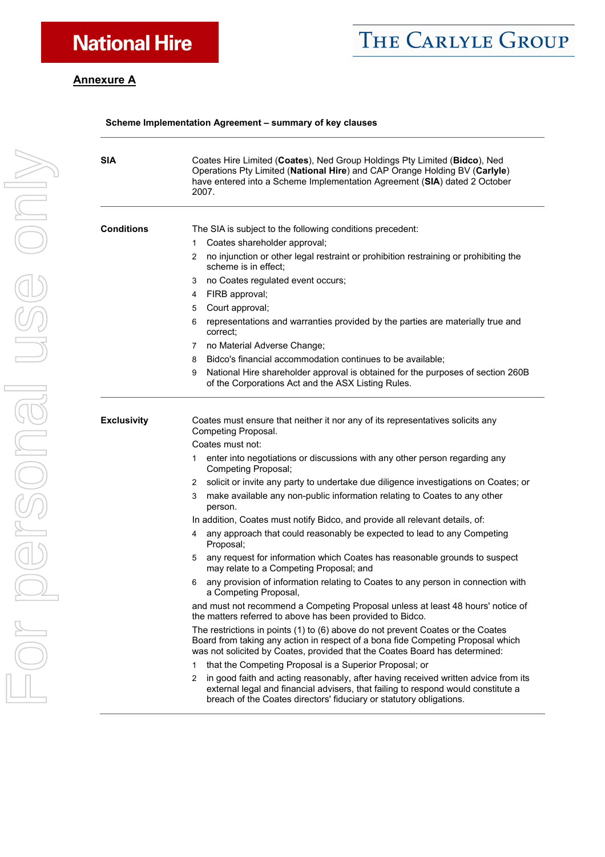# THE CARLYLE GROUP

### **Annexure A**

#### **Scheme Implementation Agreement – summary of key clauses**

| <b>SIA</b>         | Coates Hire Limited (Coates), Ned Group Holdings Pty Limited (Bidco), Ned<br>Operations Pty Limited (National Hire) and CAP Orange Holding BV (Carlyle)<br>have entered into a Scheme Implementation Agreement (SIA) dated 2 October<br>2007.       |  |  |  |
|--------------------|-----------------------------------------------------------------------------------------------------------------------------------------------------------------------------------------------------------------------------------------------------|--|--|--|
| <b>Conditions</b>  | The SIA is subject to the following conditions precedent:                                                                                                                                                                                           |  |  |  |
|                    | Coates shareholder approval;<br>1                                                                                                                                                                                                                   |  |  |  |
|                    | no injunction or other legal restraint or prohibition restraining or prohibiting the<br>2<br>scheme is in effect;                                                                                                                                   |  |  |  |
|                    | no Coates regulated event occurs;<br>3                                                                                                                                                                                                              |  |  |  |
|                    | FIRB approval;<br>4                                                                                                                                                                                                                                 |  |  |  |
|                    | Court approval;<br>5                                                                                                                                                                                                                                |  |  |  |
|                    | representations and warranties provided by the parties are materially true and<br>6<br>correct:                                                                                                                                                     |  |  |  |
|                    | 7 no Material Adverse Change;                                                                                                                                                                                                                       |  |  |  |
|                    | Bidco's financial accommodation continues to be available;<br>8                                                                                                                                                                                     |  |  |  |
|                    | National Hire shareholder approval is obtained for the purposes of section 260B<br>9<br>of the Corporations Act and the ASX Listing Rules.                                                                                                          |  |  |  |
| <b>Exclusivity</b> | Coates must ensure that neither it nor any of its representatives solicits any<br>Competing Proposal.<br>Coates must not:<br>enter into negotiations or discussions with any other person regarding any<br>1<br>Competing Proposal;                 |  |  |  |
|                    | solicit or invite any party to undertake due diligence investigations on Coates; or<br>2                                                                                                                                                            |  |  |  |
|                    | make available any non-public information relating to Coates to any other<br>3<br>person.                                                                                                                                                           |  |  |  |
|                    | In addition, Coates must notify Bidco, and provide all relevant details, of:                                                                                                                                                                        |  |  |  |
|                    | any approach that could reasonably be expected to lead to any Competing<br>4<br>Proposal;                                                                                                                                                           |  |  |  |
|                    | any request for information which Coates has reasonable grounds to suspect<br>5<br>may relate to a Competing Proposal; and                                                                                                                          |  |  |  |
|                    | any provision of information relating to Coates to any person in connection with<br>6<br>a Competing Proposal,                                                                                                                                      |  |  |  |
|                    | and must not recommend a Competing Proposal unless at least 48 hours' notice of<br>the matters referred to above has been provided to Bidco.                                                                                                        |  |  |  |
|                    | The restrictions in points (1) to (6) above do not prevent Coates or the Coates<br>Board from taking any action in respect of a bona fide Competing Proposal which<br>was not solicited by Coates, provided that the Coates Board has determined:   |  |  |  |
|                    | that the Competing Proposal is a Superior Proposal; or<br>1                                                                                                                                                                                         |  |  |  |
|                    | in good faith and acting reasonably, after having received written advice from its<br>2<br>external legal and financial advisers, that failing to respond would constitute a<br>breach of the Coates directors' fiduciary or statutory obligations. |  |  |  |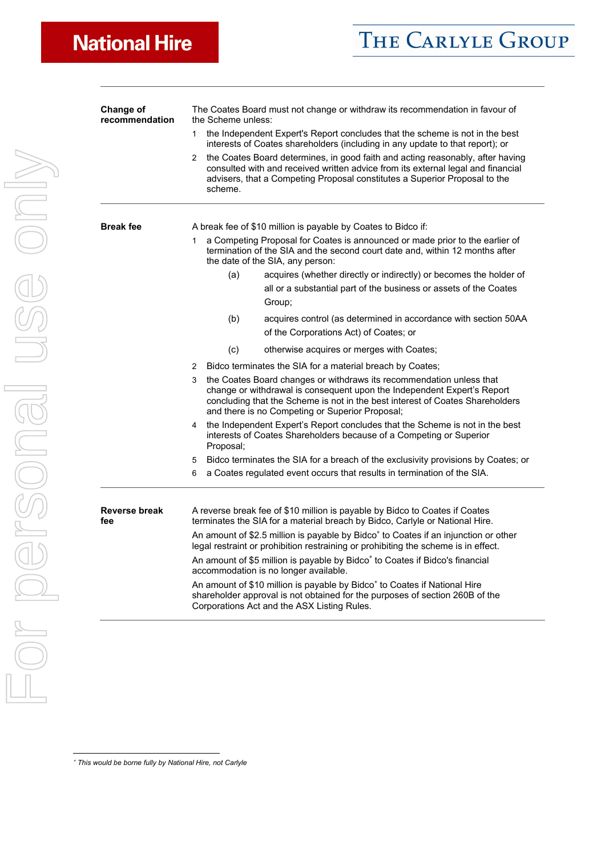| <b>Change of</b><br>recommendation | The Coates Board must not change or withdraw its recommendation in favour of<br>the Scheme unless:<br>the Independent Expert's Report concludes that the scheme is not in the best<br>1<br>interests of Coates shareholders (including in any update to that report); or<br>the Coates Board determines, in good faith and acting reasonably, after having<br>$\mathbf{2}$<br>consulted with and received written advice from its external legal and financial<br>advisers, that a Competing Proposal constitutes a Superior Proposal to the<br>scheme. |  |  |  |
|------------------------------------|---------------------------------------------------------------------------------------------------------------------------------------------------------------------------------------------------------------------------------------------------------------------------------------------------------------------------------------------------------------------------------------------------------------------------------------------------------------------------------------------------------------------------------------------------------|--|--|--|
|                                    |                                                                                                                                                                                                                                                                                                                                                                                                                                                                                                                                                         |  |  |  |
|                                    |                                                                                                                                                                                                                                                                                                                                                                                                                                                                                                                                                         |  |  |  |
| <b>Break fee</b>                   | A break fee of \$10 million is payable by Coates to Bidco if:                                                                                                                                                                                                                                                                                                                                                                                                                                                                                           |  |  |  |
|                                    | a Competing Proposal for Coates is announced or made prior to the earlier of<br>1<br>termination of the SIA and the second court date and, within 12 months after<br>the date of the SIA, any person:                                                                                                                                                                                                                                                                                                                                                   |  |  |  |
|                                    | (a)<br>acquires (whether directly or indirectly) or becomes the holder of<br>all or a substantial part of the business or assets of the Coates<br>Group;                                                                                                                                                                                                                                                                                                                                                                                                |  |  |  |
|                                    | acquires control (as determined in accordance with section 50AA<br>(b)<br>of the Corporations Act) of Coates; or                                                                                                                                                                                                                                                                                                                                                                                                                                        |  |  |  |
|                                    | (c)<br>otherwise acquires or merges with Coates;                                                                                                                                                                                                                                                                                                                                                                                                                                                                                                        |  |  |  |
|                                    | Bidco terminates the SIA for a material breach by Coates;<br>2                                                                                                                                                                                                                                                                                                                                                                                                                                                                                          |  |  |  |
|                                    | the Coates Board changes or withdraws its recommendation unless that<br>3<br>change or withdrawal is consequent upon the Independent Expert's Report<br>concluding that the Scheme is not in the best interest of Coates Shareholders<br>and there is no Competing or Superior Proposal;                                                                                                                                                                                                                                                                |  |  |  |
|                                    | the Independent Expert's Report concludes that the Scheme is not in the best<br>4<br>interests of Coates Shareholders because of a Competing or Superior<br>Proposal;                                                                                                                                                                                                                                                                                                                                                                                   |  |  |  |
|                                    | Bidco terminates the SIA for a breach of the exclusivity provisions by Coates; or<br>5                                                                                                                                                                                                                                                                                                                                                                                                                                                                  |  |  |  |
|                                    | a Coates regulated event occurs that results in termination of the SIA.<br>6                                                                                                                                                                                                                                                                                                                                                                                                                                                                            |  |  |  |
| Reverse break<br>fee               | A reverse break fee of \$10 million is payable by Bidco to Coates if Coates<br>terminates the SIA for a material breach by Bidco, Carlyle or National Hire.                                                                                                                                                                                                                                                                                                                                                                                             |  |  |  |
|                                    | An amount of \$2.5 million is payable by Bidco* to Coates if an injunction or other<br>legal restraint or prohibition restraining or prohibiting the scheme is in effect.                                                                                                                                                                                                                                                                                                                                                                               |  |  |  |
|                                    | An amount of \$5 million is payable by Bidco* to Coates if Bidco's financial<br>accommodation is no longer available.                                                                                                                                                                                                                                                                                                                                                                                                                                   |  |  |  |
|                                    | An amount of \$10 million is payable by Bidco* to Coates if National Hire<br>shareholder approval is not obtained for the purposes of section 260B of the<br>Corporations Act and the ASX Listing Rules.                                                                                                                                                                                                                                                                                                                                                |  |  |  |

<sup>∗</sup> *This would be borne fully by National Hire, not Carlyle* 

 $\overline{a}$